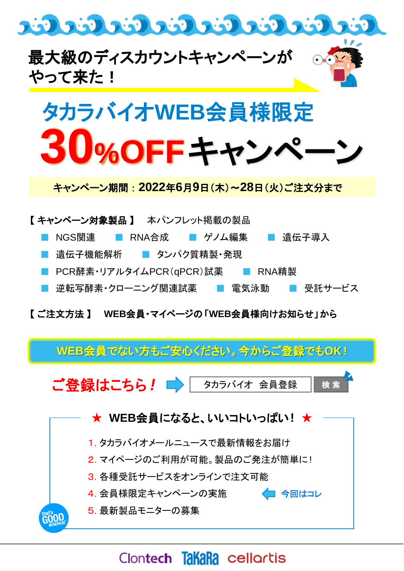



キャンペーン期間 : **2022**年**6**月**9**日(木)~**28**日(火)ご注文分まで



【 ご注文方法 】 **WEB**会員・マイページの「**WEB**会員様向けお知らせ」から

**WEB**会員でない方もご安心ください。今からご登録でも**OK !**

ご登録はこちら! ■ タカラバイオ 会員登録



# Clontech **TakaRa** cellortis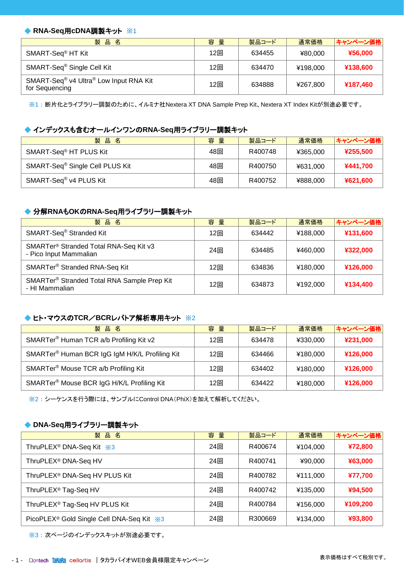#### ◆ RNA-Seq用cDNA調製キット ※1

| 製品名                                                                              | 容量  | 製品コード  | 通常価格     | キャンペーン価格 |
|----------------------------------------------------------------------------------|-----|--------|----------|----------|
| SMART-Seq <sup>®</sup> HT Kit                                                    | 12回 | 634455 | ¥80,000  | ¥56,000  |
| SMART-Seq <sup>®</sup> Single Cell Kit                                           | 12回 | 634470 | ¥198,000 | ¥138,600 |
| SMART-Seq <sup>®</sup> v4 Ultra <sup>®</sup> Low Input RNA Kit<br>for Sequencing | 12回 | 634888 | ¥267,800 | ¥187,460 |

※1 : 断片化とライブラリー調製のために、イルミナ社Nextera XT DNA Sample Prep Kit、Nextera XT Index Kitが別途必要です。

#### ◆ インデックスも含むオールインワンの**RNA-Seq**用ライブラリー調製キット

| 製品名                                         | 容量  | 製品コード   | 通常価格     | キャンペーン価格 |
|---------------------------------------------|-----|---------|----------|----------|
| SMART-Seq <sup>®</sup> HT PLUS Kit          | 48回 | R400748 | ¥365.000 | ¥255,500 |
| SMART-Seq <sup>®</sup> Single Cell PLUS Kit | 48回 | R400750 | ¥631,000 | ¥441,700 |
| SMART-Seq <sup>®</sup> v4 PLUS Kit          | 48回 | R400752 | ¥888,000 | ¥621,600 |

#### ◆ 分解**RNA**も**OK**の**RNA-Seq**用ライブラリー調製キット

| 製品名                                                                          | 容量  | 製品コード  | 通常価格     | キャンペーン価格 |
|------------------------------------------------------------------------------|-----|--------|----------|----------|
| SMART-Seq <sup>®</sup> Stranded Kit                                          | 12回 | 634442 | ¥188.000 | ¥131,600 |
| SMARTer <sup>®</sup> Stranded Total RNA-Seq Kit v3<br>- Pico Input Mammalian | 24回 | 634485 | ¥460,000 | ¥322,000 |
| SMARTer <sup>®</sup> Stranded RNA-Seq Kit                                    | 12回 | 634836 | ¥180,000 | ¥126,000 |
| SMARTer® Stranded Total RNA Sample Prep Kit<br>- HI Mammalian                | 12回 | 634873 | ¥192,000 | ¥134,400 |

#### **◆ ヒト・マウスのTCR/BCRレパトア解析専用キット ※2**

| 製品名                                                 | 容量  | 製品コード  | 通常価格     | キャンペーン価格 |
|-----------------------------------------------------|-----|--------|----------|----------|
| SMARTer <sup>®</sup> Human TCR a/b Profiling Kit v2 | 12回 | 634478 | ¥330,000 | ¥231,000 |
| SMARTer® Human BCR IgG IgM H/K/L Profiling Kit      | 12回 | 634466 | ¥180,000 | ¥126,000 |
| SMARTer <sup>®</sup> Mouse TCR a/b Profiling Kit    | 12回 | 634402 | ¥180.000 | ¥126,000 |
| SMARTer® Mouse BCR IgG H/K/L Profiling Kit          | 12回 | 634422 | ¥180.000 | ¥126,000 |

※2 : シーケンスを行う際には、サンプルにControl DNA(PhiX)を加えて解析してください。

#### ◆ **DNA-Seq**用ライブラリー調製キット

| 品名<br>製                                               | 容量  | 製品コード   | 通常価格     | キャンペーン価格 |
|-------------------------------------------------------|-----|---------|----------|----------|
| ThruPLEX <sup>®</sup> DNA-Seq Kit ※3                  | 24回 | R400674 | ¥104.000 | ¥72,800  |
| ThruPLEX <sup>®</sup> DNA-Seq HV                      | 24回 | R400741 | ¥90.000  | ¥63,000  |
| ThruPLEX <sup>®</sup> DNA-Seq HV PLUS Kit             | 24回 | R400782 | ¥111.000 | ¥77,700  |
| ThruPLEX <sup>®</sup> Tag-Seq HV                      | 24回 | R400742 | ¥135,000 | ¥94,500  |
| ThruPLEX <sup>®</sup> Tag-Seq HV PLUS Kit             | 24回 | R400784 | ¥156,000 | ¥109,200 |
| PicoPLEX <sup>®</sup> Gold Single Cell DNA-Seq Kit *3 | 24回 | R300669 | ¥134,000 | ¥93,800  |

※3 : 次ページのインデックスキットが別途必要です。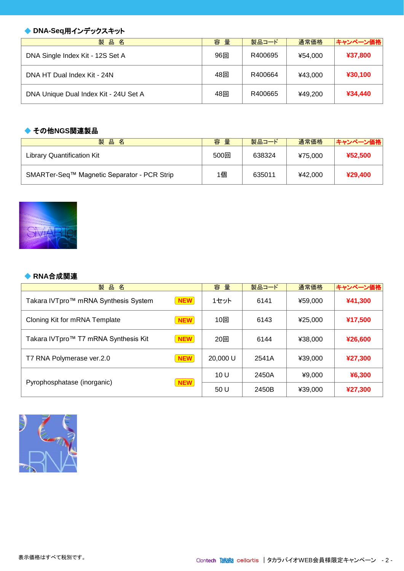## ◆ **DNA-Seq用インデックスキット**

| 品名<br>製                               | 量<br>容 | 製品コード   | 通常価格    | キャンペーン価格 |
|---------------------------------------|--------|---------|---------|----------|
| DNA Single Index Kit - 12S Set A      | 96回    | R400695 | ¥54.000 | ¥37,800  |
| DNA HT Dual Index Kit - 24N           | 48回    | R400664 | ¥43,000 | ¥30,100  |
| DNA Unique Dual Index Kit - 24U Set A | 48回    | R400665 | ¥49.200 | ¥34,440  |

#### **◆ その他NGS関連製品**

| 製<br>品<br>名                                 | 量<br>容 | 製品コード  | 通常価格    | キャンペーン価格 |
|---------------------------------------------|--------|--------|---------|----------|
| Library Quantification Kit                  | 500回   | 638324 | ¥75.000 | ¥52.500  |
| SMARTer-Seq™ Magnetic Separator - PCR Strip | 1個     | 635011 | ¥42,000 | ¥29,400  |

#### ◆ **RNA**合成関連

| 品名<br>製                              |            | 容<br>量   | 製品コード | 通常価格    | キャンペーン価格 |
|--------------------------------------|------------|----------|-------|---------|----------|
| Takara IVTpro™ mRNA Synthesis System | <b>NEW</b> | 1セット     | 6141  | ¥59,000 | ¥41,300  |
| Cloning Kit for mRNA Template        | <b>NEW</b> | 10回      | 6143  | ¥25.000 | ¥17,500  |
| Takara IVTpro™ T7 mRNA Synthesis Kit | <b>NEW</b> | 20回      | 6144  | ¥38,000 | ¥26,600  |
| T7 RNA Polymerase ver.2.0            | <b>NEW</b> | 20,000 U | 2541A | ¥39.000 | ¥27,300  |
| Pyrophosphatase (inorganic)          |            | 10U      | 2450A | ¥9,000  | ¥6,300   |
|                                      | <b>NEW</b> | 50 U     | 2450B | ¥39,000 | ¥27,300  |

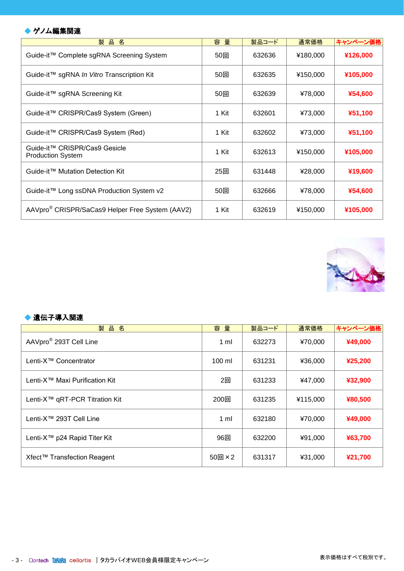## ◆ ゲノム編集関連

| 品名<br>製                                                     | 量<br>容 | 製品コード  | 通常価格     | キャンペーン価格 |
|-------------------------------------------------------------|--------|--------|----------|----------|
| Guide-it™ Complete sgRNA Screening System                   | 50回    | 632636 | ¥180,000 | ¥126,000 |
| Guide-it™ sgRNA In Vitro Transcription Kit                  | 50回    | 632635 | ¥150,000 | ¥105,000 |
| Guide-it™ sgRNA Screening Kit                               | 50回    | 632639 | ¥78,000  | ¥54,600  |
| Guide-it™ CRISPR/Cas9 System (Green)                        | 1 Kit  | 632601 | ¥73,000  | ¥51,100  |
| Guide-it™ CRISPR/Cas9 System (Red)                          | 1 Kit  | 632602 | ¥73,000  | ¥51,100  |
| Guide-it™ CRISPR/Cas9 Gesicle<br><b>Production System</b>   | 1 Kit  | 632613 | ¥150,000 | ¥105,000 |
| Guide-it™ Mutation Detection Kit                            | 25回    | 631448 | ¥28,000  | ¥19,600  |
| Guide-it™ Long ssDNA Production System v2                   | 50回    | 632666 | ¥78,000  | ¥54,600  |
| AAVpro <sup>®</sup> CRISPR/SaCas9 Helper Free System (AAV2) | 1 Kit  | 632619 | ¥150,000 | ¥105,000 |

 $\mathcal{A}(\mathcal{A})$  is the contract of the  $\mathcal{A}(\mathcal{A})$  is the contract of  $\mathcal{A}(\mathcal{A})$ 



#### ◆ 遺伝子導入関連

| 品名<br>製                                    | 容量               | 製品コード  | 通常価格     | キャンペーン価格 |
|--------------------------------------------|------------------|--------|----------|----------|
| AAVpro <sup>®</sup> 293T Cell Line         | 1 ml             | 632273 | ¥70,000  | ¥49,000  |
| Lenti-X <sup>™</sup> Concentrator          | $100 \mathrm{m}$ | 631231 | ¥36,000  | ¥25,200  |
| Lenti-X <sup>™</sup> Maxi Purification Kit | 2回               | 631233 | ¥47,000  | ¥32,900  |
| Lenti-X <sup>™</sup> qRT-PCR Titration Kit | 200回             | 631235 | ¥115,000 | ¥80,500  |
| Lenti-X <sup>™</sup> 293T Cell Line        | 1 ml             | 632180 | ¥70,000  | ¥49,000  |
| Lenti-X <sup>™</sup> p24 Rapid Titer Kit   | 96回              | 632200 | ¥91,000  | ¥63,700  |
| Xfect™ Transfection Reagent                | $50$ 回×2         | 631317 | ¥31,000  | ¥21,700  |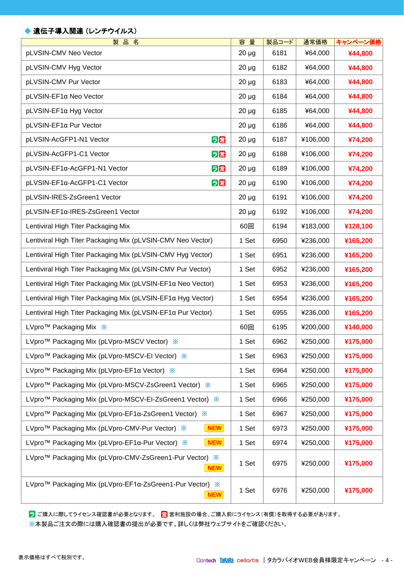## ◆ 遺伝子導入関連 (レンチウイルス)

| 製品名                                                                                             | 容量         | 製品コード | 通常価格     | キャンペーン価格 |
|-------------------------------------------------------------------------------------------------|------------|-------|----------|----------|
| pLVSIN-CMV Neo Vector                                                                           | $20 \mu g$ | 6181  | ¥64,000  | ¥44,800  |
| pLVSIN-CMV Hyg Vector                                                                           | $20 \mu g$ | 6182  | ¥64,000  | ¥44,800  |
| pLVSIN-CMV Pur Vector                                                                           | $20 \mu g$ | 6183  | ¥64,000  | ¥44,800  |
| pLVSIN-EF1α Neo Vector                                                                          | $20 \mu g$ | 6184  | ¥64,000  | ¥44,800  |
| pLVSIN-EF1a Hyg Vector                                                                          | $20 \mu g$ | 6185  | ¥64,000  | ¥44,800  |
| pLVSIN-EF1α Pur Vector                                                                          | $20 \mu g$ | 6186  | ¥64,000  | ¥44,800  |
| pLVSIN-AcGFP1-N1 Vector<br>5営                                                                   | $20 \mu g$ | 6187  | ¥106,000 | ¥74,200  |
| 日営<br>pLVSIN-AcGFP1-C1 Vector                                                                   | $20 \mu g$ | 6188  | ¥106,000 | ¥74,200  |
| pLVSIN-EF1α-AcGFP1-N1 Vector<br>ラ営                                                              | $20 \mu g$ | 6189  | ¥106,000 | ¥74,200  |
| ラ営<br>pLVSIN-EF1α-AcGFP1-C1 Vector                                                              | $20 \mu g$ | 6190  | ¥106,000 | ¥74,200  |
| pLVSIN-IRES-ZsGreen1 Vector                                                                     | $20 \mu g$ | 6191  | ¥106,000 | ¥74,200  |
| pLVSIN-EF1a-IRES-ZsGreen1 Vector                                                                | $20 \mu g$ | 6192  | ¥106,000 | ¥74,200  |
| Lentiviral High Titer Packaging Mix                                                             | 60回        | 6194  | ¥183,000 | ¥128,100 |
| Lentiviral High Titer Packaging Mix (pLVSIN-CMV Neo Vector)                                     | 1 Set      | 6950  | ¥236,000 | ¥165,200 |
| Lentiviral High Titer Packaging Mix (pLVSIN-CMV Hyg Vector)                                     | 1 Set      | 6951  | ¥236,000 | ¥165,200 |
| Lentiviral High Titer Packaging Mix (pLVSIN-CMV Pur Vector)                                     | 1 Set      | 6952  | ¥236,000 | ¥165,200 |
| Lentiviral High Titer Packaging Mix (pLVSIN-EF1α Neo Vector)                                    | 1 Set      | 6953  | ¥236,000 | ¥165,200 |
| Lentiviral High Titer Packaging Mix (pLVSIN-EF1α Hyg Vector)                                    | 1 Set      | 6954  | ¥236,000 | ¥165,200 |
| Lentiviral High Titer Packaging Mix (pLVSIN-EF1α Pur Vector)                                    | 1 Set      | 6955  | ¥236,000 | ¥165,200 |
| LVpro™ Packaging Mix ※                                                                          | 60回        | 6195  | ¥200,000 | ¥140,000 |
| LVpro™ Packaging Mix (pLVpro-MSCV Vector) ※                                                     | 1 Set      | 6962  | ¥250,000 | ¥175,000 |
| LVpro™ Packaging Mix (pLVpro-MSCV-EI Vector) ※                                                  | 1 Set      | 6963  | ¥250,000 | ¥175,000 |
| LVpro <sup>™</sup> Packaging Mix (pLVpro-EF1α Vector) *                                         | 1 Set      | 6964  | ¥250,000 | ¥175,000 |
| LVpro™ Packaging Mix (pLVpro-MSCV-ZsGreen1 Vector) ※                                            | 1 Set      | 6965  | ¥250,000 | ¥175,000 |
| LVpro™ Packaging Mix (pLVpro-MSCV-EI-ZsGreen1 Vector) ※                                         | 1 Set      | 6966  | ¥250,000 | ¥175,000 |
| LVpro™ Packaging Mix (pLVpro-EF1α-ZsGreen1 Vector) ※                                            | 1 Set      | 6967  | ¥250,000 | ¥175,000 |
| $\sqrt{\phantom{a}}$ NEW $\sqrt{\phantom{a}}$<br>LVpro™ Packaging Mix (pLVpro-CMV-Pur Vector) ※ | 1 Set      | 6973  | ¥250,000 | ¥175,000 |
| $($ NEW $)$<br>LVpro™ Packaging Mix (pLVpro-EF1α-Pur Vector) ※                                  | 1 Set      | 6974  | ¥250,000 | ¥175,000 |
| LVpro™ Packaging Mix (pLVpro-CMV-ZsGreen1-Pur Vector) ※<br>NEW                                  | 1 Set      | 6975  | ¥250,000 | ¥175,000 |
| LVpro™ Packaging Mix (pLVpro-EF1α-ZsGreen1-Pur Vector) ※<br>(NEW)                               | 1 Set      | 6976  | ¥250,000 | ¥175,000 |

<mark>ラ</mark> ご購入に際してライセンス確認書が必要となります。 <mark>営</mark> 営利施設の場合、ご購入前にライセンス(有償)を取得する必要があります。 ※本製品ご注文の際には購入確認書の提出が必要です。詳しくは弊社ウェブサイトをご確認ください。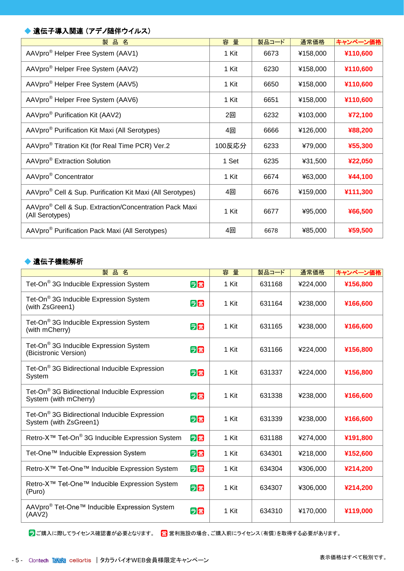## ◆ 遺伝子導入関連 (アデノ随伴ウイルス)

| 品名<br>製                                                                               | 容量     | 製品コード | 通常価格     | キャンペーン価格 |
|---------------------------------------------------------------------------------------|--------|-------|----------|----------|
| AAVpro <sup>®</sup> Helper Free System (AAV1)                                         | 1 Kit  | 6673  | ¥158,000 | ¥110,600 |
| AAVpro <sup>®</sup> Helper Free System (AAV2)                                         | 1 Kit  | 6230  | ¥158,000 | ¥110,600 |
| AAVpro <sup>®</sup> Helper Free System (AAV5)                                         | 1 Kit  | 6650  | ¥158,000 | ¥110,600 |
| AAVpro <sup>®</sup> Helper Free System (AAV6)                                         | 1 Kit  | 6651  | ¥158,000 | ¥110,600 |
| AAVpro <sup>®</sup> Purification Kit (AAV2)                                           | 2回     | 6232  | ¥103,000 | ¥72,100  |
| AAVpro <sup>®</sup> Purification Kit Maxi (All Serotypes)                             | 4回     | 6666  | ¥126,000 | ¥88,200  |
| AAVpro <sup>®</sup> Titration Kit (for Real Time PCR) Ver.2                           | 100反応分 | 6233  | ¥79,000  | ¥55,300  |
| AAVpro <sup>®</sup> Extraction Solution                                               | 1 Set  | 6235  | ¥31,500  | ¥22,050  |
| AAVpro <sup>®</sup> Concentrator                                                      | 1 Kit  | 6674  | ¥63,000  | ¥44,100  |
| AAVpro <sup>®</sup> Cell & Sup. Purification Kit Maxi (All Serotypes)                 | 4回     | 6676  | ¥159,000 | ¥111,300 |
| AAVpro <sup>®</sup> Cell & Sup. Extraction/Concentration Pack Maxi<br>(All Serotypes) | 1 Kit  | 6677  | ¥95,000  | ¥66,500  |
| AAVpro <sup>®</sup> Purification Pack Maxi (All Serotypes)                            | 4回     | 6678  | ¥85,000  | ¥59,500  |

#### ◆ 遺伝子機能解析

| 製品名                                                                                 |    | 容量    | 製品コード  | 通常価格     | キャンペーン価格 |
|-------------------------------------------------------------------------------------|----|-------|--------|----------|----------|
| Tet-On <sup>®</sup> 3G Inducible Expression System                                  | 5営 | 1 Kit | 631168 | ¥224,000 | ¥156,800 |
| Tet-On® 3G Inducible Expression System<br>(with ZsGreen1)                           | 日営 | 1 Kit | 631164 | ¥238,000 | ¥166,600 |
| Tet-On® 3G Inducible Expression System<br>(with mCherry)                            | 日営 | 1 Kit | 631165 | ¥238,000 | ¥166,600 |
| Tet-On <sup>®</sup> 3G Inducible Expression System<br>(Bicistronic Version)         | 5箇 | 1 Kit | 631166 | ¥224,000 | ¥156,800 |
| Tet-On <sup>®</sup> 3G Bidirectional Inducible Expression<br>System                 | 5営 | 1 Kit | 631337 | ¥224,000 | ¥156,800 |
| Tet-On® 3G Bidirectional Inducible Expression<br>System (with mCherry)              | 5営 | 1 Kit | 631338 | ¥238,000 | ¥166,600 |
| Tet-On <sup>®</sup> 3G Bidirectional Inducible Expression<br>System (with ZsGreen1) | 5営 | 1 Kit | 631339 | ¥238,000 | ¥166,600 |
| Retro-X <sup>™</sup> Tet-On <sup>®</sup> 3G Inducible Expression System             | 日営 | 1 Kit | 631188 | ¥274,000 | ¥191,800 |
| Tet-One™ Inducible Expression System                                                | 日営 | 1 Kit | 634301 | ¥218,000 | ¥152,600 |
| Retro-X <sup>™</sup> Tet-One <sup>™</sup> Inducible Expression System               | 日営 | 1 Kit | 634304 | ¥306,000 | ¥214,200 |
| Retro-X <sup>™</sup> Tet-One <sup>™</sup> Inducible Expression System<br>(Puro)     | 5箇 | 1 Kit | 634307 | ¥306,000 | ¥214,200 |
| AAVpro <sup>®</sup> Tet-One™ Inducible Expression System<br>(AAV2)                  | 5営 | 1 Kit | 634310 | ¥170,000 | ¥119,000 |

<mark>ラ</mark> ご購入に際してライセンス確認書が必要となります。 営 営利施設の場合、ご購入前にライセンス(有償)を取得する必要があります。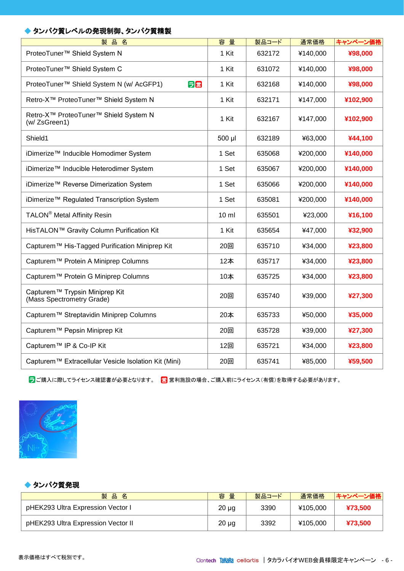#### ◆ タンパク質レベルの発現制御、タンパク質精製

| 容量              | 製品コード  | 通常価格     | キャンペーン価格 |
|-----------------|--------|----------|----------|
| 1 Kit           | 632172 | ¥140,000 | ¥98,000  |
| 1 Kit           | 631072 | ¥140,000 | ¥98,000  |
| 1 Kit           | 632168 | ¥140,000 | ¥98,000  |
| 1 Kit           | 632171 | ¥147,000 | ¥102,900 |
| 1 Kit           | 632167 | ¥147,000 | ¥102,900 |
| 500 µl          | 632189 | ¥63,000  | ¥44,100  |
| 1 Set           | 635068 | ¥200,000 | ¥140,000 |
| 1 Set           | 635067 | ¥200,000 | ¥140,000 |
| 1 Set           | 635066 | ¥200,000 | ¥140,000 |
| 1 Set           | 635081 | ¥200,000 | ¥140,000 |
| $10 \mathrm{m}$ | 635501 | ¥23,000  | ¥16,100  |
| 1 Kit           | 635654 | ¥47,000  | ¥32,900  |
| 20回             | 635710 | ¥34,000  | ¥23,800  |
| 12本             | 635717 | ¥34,000  | ¥23,800  |
| 10本             | 635725 | ¥34,000  | ¥23,800  |
| 20回             | 635740 | ¥39,000  | ¥27,300  |
| 20本             | 635733 | ¥50,000  | ¥35,000  |
| 20回             | 635728 | ¥39,000  | ¥27,300  |
| 12回             | 635721 | ¥34,000  | ¥23,800  |
| 20回             | 635741 | ¥85,000  | ¥59,500  |
|                 |        |          |          |

<mark>ラ</mark> ご購入に際してライセンス確認書が必要となります。 営 営利施設の場合、ご購入前にライセンス(有償)を取得する必要があります。



#### ◆ タンパク質発現

| 製品<br>名                            | 容量         | 製品コード | 通常価格     | キャンペーン価格 |
|------------------------------------|------------|-------|----------|----------|
| pHEK293 Ultra Expression Vector I  | $20 \mu g$ | 3390  | ¥105.000 | ¥73.500  |
| pHEK293 Ultra Expression Vector II | $20 \mu g$ | 3392  | ¥105.000 | ¥73.500  |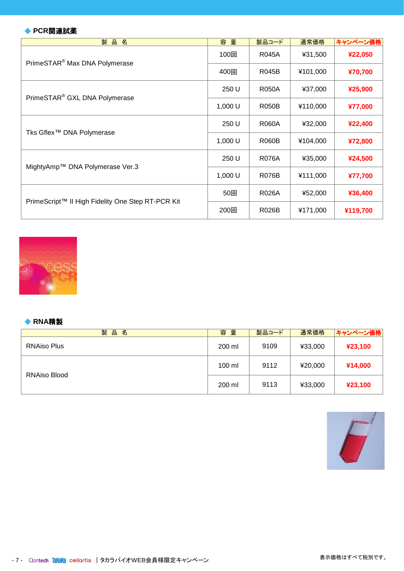#### ◆ **PCR**関連試薬

| 品<br>製<br>名                                       | 容量      | 製品コード        | 通常価格     | キャンペーン価格 |
|---------------------------------------------------|---------|--------------|----------|----------|
| PrimeSTAR <sup>®</sup> Max DNA Polymerase         | 100回    | R045A        | ¥31,500  | ¥22,050  |
|                                                   | 400回    | <b>R045B</b> | ¥101,000 | ¥70,700  |
| PrimeSTAR <sup>®</sup> GXL DNA Polymerase         | 250 U   | <b>R050A</b> | ¥37,000  | ¥25,900  |
|                                                   | 1,000 U | <b>R050B</b> | ¥110,000 | ¥77,000  |
|                                                   | 250 U   | <b>R060A</b> | ¥32,000  | ¥22,400  |
| Tks Gflex™ DNA Polymerase                         | 1,000 U | <b>R060B</b> | ¥104,000 | ¥72,800  |
| MightyAmp™ DNA Polymerase Ver.3                   | 250 U   | <b>R076A</b> | ¥35,000  | ¥24,500  |
|                                                   | 1,000 U | <b>R076B</b> | ¥111,000 | ¥77,700  |
|                                                   | 50回     | <b>R026A</b> | ¥52,000  | ¥36,400  |
| PrimeScript™ II High Fidelity One Step RT-PCR Kit | 200回    | <b>R026B</b> | ¥171,000 | ¥119,700 |



#### ◆ **RNA**精製

| 製<br>品<br>名         | 容量     | 製品コード | 通常価格    | キャンペーン価格 |
|---------------------|--------|-------|---------|----------|
| <b>RNAiso Plus</b>  | 200 ml | 9109  | ¥33,000 | ¥23,100  |
|                     | 100 ml | 9112  | ¥20,000 | ¥14,000  |
| <b>RNAiso Blood</b> | 200 ml | 9113  | ¥33,000 | ¥23,100  |

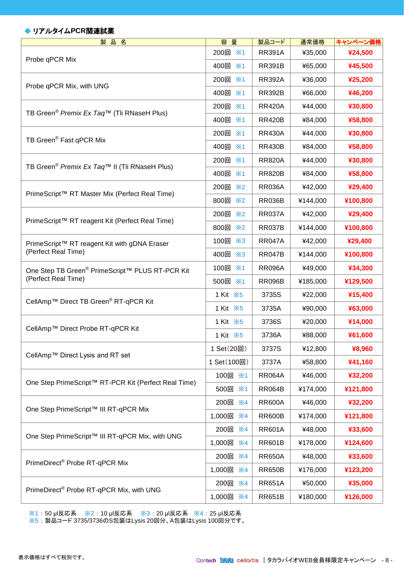#### ◆ リアルタイム**PCR**関連試薬

| 製品名                                                                 | 容量                                 | 製品コード         | 通常価格     | キャンペーン価格 |
|---------------------------------------------------------------------|------------------------------------|---------------|----------|----------|
| Probe qPCR Mix                                                      | 200回 ※1                            | <b>RR391A</b> | ¥35,000  | ¥24,500  |
|                                                                     | 400回<br>$\times 1$                 | <b>RR391B</b> | ¥65,000  | ¥45,500  |
| Probe qPCR Mix, with UNG                                            | 200回<br>×1                         | <b>RR392A</b> | ¥36,000  | ¥25,200  |
|                                                                     | 400回 ※1                            | <b>RR392B</b> | ¥66,000  | ¥46,200  |
| TB Green <sup>®</sup> Premix Ex Taq <sup>™</sup> (Tli RNaseH Plus)  | 200回 ※1                            | <b>RR420A</b> | ¥44,000  | ¥30,800  |
|                                                                     | 400回<br>×1                         | <b>RR420B</b> | ¥84,000  | ¥58,800  |
| TB Green <sup>®</sup> Fast qPCR Mix                                 | 200回 ※1                            | <b>RR430A</b> | ¥44,000  | ¥30,800  |
|                                                                     | 400回 ※1                            | <b>RR430B</b> | ¥84,000  | ¥58,800  |
| TB Green <sup>®</sup> Premix Ex Taq™ II (Tli RNaseH Plus)           | 200回<br>$\times 1$                 | <b>RR820A</b> | ¥44,000  | ¥30,800  |
|                                                                     | 400回 ※1                            | <b>RR820B</b> | ¥84,000  | ¥58,800  |
|                                                                     | 200回 ※2                            | <b>RR036A</b> | ¥42,000  | ¥29,400  |
| PrimeScript™ RT Master Mix (Perfect Real Time)                      | 800回<br>$\mathsf{\divideontimes}2$ | <b>RR036B</b> | ¥144,000 | ¥100,800 |
|                                                                     | 200回 ※2                            | <b>RR037A</b> | ¥42,000  | ¥29,400  |
| PrimeScript™ RT reagent Kit (Perfect Real Time)                     | 800回 ※2                            | <b>RR037B</b> | ¥144,000 | ¥100,800 |
| PrimeScript™ RT reagent Kit with gDNA Eraser<br>(Perfect Real Time) | 100回 ※3                            | <b>RR047A</b> | ¥42,000  | ¥29,400  |
|                                                                     | 400回 ※3                            | <b>RR047B</b> | ¥144,000 | ¥100,800 |
| One Step TB Green® PrimeScript™ PLUS RT-PCR Kit                     | 100回 ※1                            | <b>RR096A</b> | ¥49,000  | ¥34,300  |
| (Perfect Real Time)                                                 | 500回 ※1                            | <b>RR096B</b> | ¥185,000 | ¥129,500 |
| CellAmp <sup>™</sup> Direct TB Green <sup>®</sup> RT-qPCR Kit       | 1 Kit ※5                           | 3735S         | ¥22,000  | ¥15,400  |
|                                                                     | 1 Kit $\cdot$ X <sub>5</sub>       | 3735A         | ¥90,000  | ¥63,000  |
| CellAmp™ Direct Probe RT-qPCR Kit                                   | 1 Kit ※5                           | 3736S         | ¥20,000  | ¥14,000  |
|                                                                     | 1 Kit ※5                           | 3736A         | ¥88,000  | ¥61,600  |
| CellAmp™ Direct Lysis and RT set                                    | 1 Set(20回)                         | 3737S         | ¥12,800  | ¥8,960   |
|                                                                     | 1 Set(100回)                        | 3737A         | ¥58,800  | ¥41,160  |
|                                                                     | 100回 ※1                            | <b>RR064A</b> | ¥46,000  | ¥32,200  |
| One Step PrimeScript™ RT-PCR Kit (Perfect Real Time)                | 500回<br>×1                         | <b>RR064B</b> | ¥174,000 | ¥121,800 |
|                                                                     | 200回<br>$\mathsf{\times}4$         | <b>RR600A</b> | ¥46,000  | ¥32,200  |
| One Step PrimeScript™ III RT-qPCR Mix                               | 1,000回<br>$\mathsf{\times}4$       | <b>RR600B</b> | ¥174,000 | ¥121,800 |
| One Step PrimeScript™ III RT-qPCR Mix, with UNG                     | 200回<br>$\times 4$                 | <b>RR601A</b> | ¥48,000  | ¥33,600  |
|                                                                     | 1,000回<br>$\mathsf{\times}4$       | <b>RR601B</b> | ¥178,000 | ¥124,600 |
| PrimeDirect <sup>®</sup> Probe RT-qPCR Mix                          | 200回<br>$\mathsf{\divideontimes}4$ | <b>RR650A</b> | ¥48,000  | ¥33,600  |
|                                                                     | 1,000回<br>$\mathsf{\times}4$       | <b>RR650B</b> | ¥176,000 | ¥123,200 |
|                                                                     | 200回<br>$\times 4$                 | <b>RR651A</b> | ¥50,000  | ¥35,000  |
| PrimeDirect® Probe RT-qPCR Mix, with UNG                            | 1,000回<br>$\mathsf{X}4$            | <b>RR651B</b> | ¥180,000 | ¥126,000 |

※1:50 μl反応系 ※2:10 μl反応系 ※3:20 μl反応系 ※4:25 μl反応系

※5 : 製品コード 3735/3736のS包装はLysis 20回分、A包装はLysis 100回分です。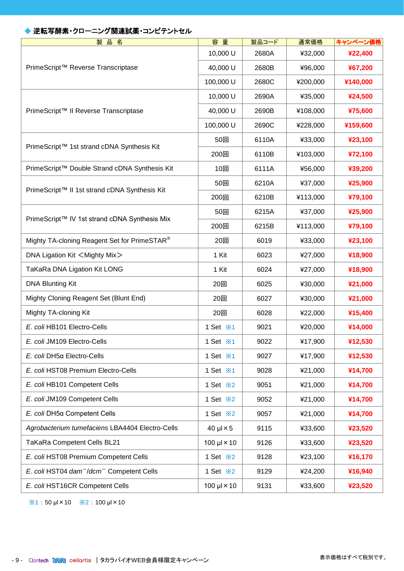## ◆ 逆転写酵素・クローニング関連試薬・コンピテントセル

| 品<br>製<br>名                                                      | 容量                           | 製品コード | 通常価格     | キャンペーン価格 |
|------------------------------------------------------------------|------------------------------|-------|----------|----------|
|                                                                  | 10,000 U                     | 2680A | ¥32,000  | ¥22,400  |
| PrimeScript™ Reverse Transcriptase                               | 40,000 U                     | 2680B | ¥96,000  | ¥67,200  |
|                                                                  | 100,000 U                    | 2680C | ¥200,000 | ¥140,000 |
|                                                                  | 10,000 U                     | 2690A | ¥35,000  | ¥24,500  |
| PrimeScript™ II Reverse Transcriptase                            | 40,000 U                     | 2690B | ¥108,000 | ¥75,600  |
|                                                                  | 100,000 U                    | 2690C | ¥228,000 | ¥159,600 |
| PrimeScript™ 1st strand cDNA Synthesis Kit                       | 50回                          | 6110A | ¥33,000  | ¥23,100  |
|                                                                  | 200回                         | 6110B | ¥103,000 | ¥72,100  |
| PrimeScript™ Double Strand cDNA Synthesis Kit                    | 10回                          | 6111A | ¥56,000  | ¥39,200  |
| PrimeScript™ II 1st strand cDNA Synthesis Kit                    | 50回                          | 6210A | ¥37,000  | ¥25,900  |
|                                                                  | 200回                         | 6210B | ¥113,000 | ¥79,100  |
|                                                                  | 50回                          | 6215A | ¥37,000  | ¥25,900  |
| PrimeScript™ IV 1st strand cDNA Synthesis Mix                    | 200回                         | 6215B | ¥113,000 | ¥79,100  |
| Mighty TA-cloning Reagent Set for PrimeSTAR <sup>®</sup>         | 20回                          | 6019  | ¥33,000  | ¥23,100  |
| DNA Ligation Kit <mighty mix=""></mighty>                        | 1 Kit                        | 6023  | ¥27,000  | ¥18,900  |
| TaKaRa DNA Ligation Kit LONG                                     | 1 Kit                        | 6024  | ¥27,000  | ¥18,900  |
| <b>DNA Blunting Kit</b>                                          | 20回                          | 6025  | ¥30,000  | ¥21,000  |
| Mighty Cloning Reagent Set (Blunt End)                           | 20回                          | 6027  | ¥30,000  | ¥21,000  |
| Mighty TA-cloning Kit                                            | 20回                          | 6028  | ¥22,000  | ¥15,400  |
| E. coli HB101 Electro-Cells                                      | 1 Set $\cdot$ *1             | 9021  | ¥20,000  | ¥14,000  |
| E. coli JM109 Electro-Cells                                      | 1 Set $\cdot\!\!\times\!\!1$ | 9022  | ¥17,900  | ¥12,530  |
| E. coli DH5α Electro-Cells                                       | 1 Set $\cdot\!\!\times$ 1    | 9027  | ¥17,900  | ¥12,530  |
| E. coli HST08 Premium Electro-Cells                              | 1 Set $\cdot$ \ 1            | 9028  | ¥21,000  | ¥14,700  |
| E. coli HB101 Competent Cells                                    | 1 Set $\divideontimes$ 2     | 9051  | ¥21,000  | ¥14,700  |
| E. coli JM109 Competent Cells                                    | 1 Set $\divideontimes$ 2     | 9052  | ¥21,000  | ¥14,700  |
| E. coli DH5α Competent Cells                                     | 1 Set $\frac{1}{2}$          | 9057  | ¥21,000  | ¥14,700  |
| Agrobacterium tumefaciens LBA4404 Electro-Cells                  | $40 \mu x 5$                 | 9115  | ¥33,600  | ¥23,520  |
| TaKaRa Competent Cells BL21                                      | 100 $\mu$ $\times$ 10        | 9126  | ¥33,600  | ¥23,520  |
| E. coli HST08 Premium Competent Cells                            | 1 Set $\frac{1}{2}$          | 9128  | ¥23,100  | ¥16,170  |
| E. coli HST04 dam <sup>-</sup> /dcm <sup>-</sup> Competent Cells | 1 Set $\divideontimes$ 2     | 9129  | ¥24,200  | ¥16,940  |
| E. coli HST16CR Competent Cells                                  | 100 $\mu$ I $\times$ 10      | 9131  | ¥33,600  | ¥23,520  |

※1 : 50 μl×10 ※2 : 100 μl×10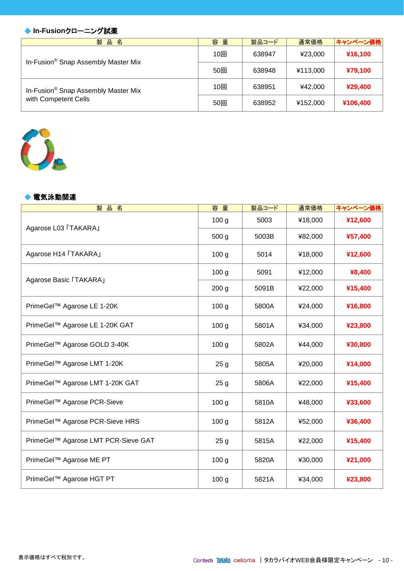#### ◆ **In-Fusionクローニング試薬**

| 製品名                                             | 容量  | 製品コード  | 通常価格     | キャンペーン価格 |
|-------------------------------------------------|-----|--------|----------|----------|
| In-Fusion <sup>®</sup> Snap Assembly Master Mix | 10回 | 638947 | ¥23,000  | ¥16,100  |
|                                                 | 50回 | 638948 | ¥113,000 | ¥79,100  |
| In-Fusion <sup>®</sup> Snap Assembly Master Mix | 10回 | 638951 | ¥42.000  | ¥29,400  |
| with Competent Cells                            | 50回 | 638952 | ¥152,000 | ¥106,400 |

해 주는 사람들은 사람들의 사람들을 지키고 있다.



#### ◆ 電気泳動関連

| 製品名                                 | 容量               | 製品コード | 通常価格    | キャンペーン価格 |
|-------------------------------------|------------------|-------|---------|----------|
| Agarose L03 「TAKARA」                | 100 <sub>g</sub> | 5003  | ¥18,000 | ¥12,600  |
|                                     | 500 g            | 5003B | ¥82,000 | ¥57,400  |
| Agarose H14 「TAKARA」                | 100 <sub>g</sub> | 5014  | ¥18,000 | ¥12,600  |
| Agarose Basic 「TAKARA」              | 100 <sub>g</sub> | 5091  | ¥12,000 | ¥8,400   |
|                                     | 200 <sub>g</sub> | 5091B | ¥22,000 | ¥15,400  |
| PrimeGel™ Agarose LE 1-20K          | 100 <sub>g</sub> | 5800A | ¥24,000 | ¥16,800  |
| PrimeGel™ Agarose LE 1-20K GAT      | 100 <sub>g</sub> | 5801A | ¥34,000 | ¥23,800  |
| PrimeGel™ Agarose GOLD 3-40K        | 100 <sub>g</sub> | 5802A | ¥44,000 | ¥30,800  |
| PrimeGel™ Agarose LMT 1-20K         | 25 <sub>g</sub>  | 5805A | ¥20,000 | ¥14,000  |
| PrimeGel™ Agarose LMT 1-20K GAT     | 25 <sub>g</sub>  | 5806A | ¥22,000 | ¥15,400  |
| PrimeGel™ Agarose PCR-Sieve         | 100 <sub>g</sub> | 5810A | ¥48,000 | ¥33,600  |
| PrimeGel™ Agarose PCR-Sieve HRS     | 100 <sub>g</sub> | 5812A | ¥52,000 | ¥36,400  |
| PrimeGel™ Agarose LMT PCR-Sieve GAT | 25 <sub>g</sub>  | 5815A | ¥22,000 | ¥15,400  |
| PrimeGel™ Agarose ME PT             | 100 <sub>g</sub> | 5820A | ¥30,000 | ¥21,000  |
| PrimeGel™ Agarose HGT PT            | 100 <sub>g</sub> | 5821A | ¥34,000 | ¥23,800  |